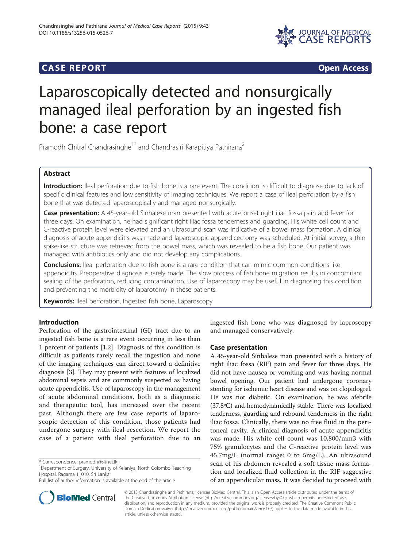



# Laparoscopically detected and nonsurgically managed ileal perforation by an ingested fish bone: a case report

Pramodh Chitral Chandrasinghe<sup>1\*</sup> and Chandrasiri Karapitiya Pathirana<sup>2</sup>

# Abstract

Introduction: Ileal perforation due to fish bone is a rare event. The condition is difficult to diagnose due to lack of specific clinical features and low sensitivity of imaging techniques. We report a case of ileal perforation by a fish bone that was detected laparoscopically and managed nonsurgically.

Case presentation: A 45-year-old Sinhalese man presented with acute onset right iliac fossa pain and fever for three days. On examination, he had significant right iliac fossa tenderness and guarding. His white cell count and C-reactive protein level were elevated and an ultrasound scan was indicative of a bowel mass formation. A clinical diagnosis of acute appendicitis was made and laparoscopic appendicectomy was scheduled. At initial survey, a thin spike-like structure was retrieved from the bowel mass, which was revealed to be a fish bone. Our patient was managed with antibiotics only and did not develop any complications.

**Conclusions:** Ileal perforation due to fish bone is a rare condition that can mimic common conditions like appendicitis. Preoperative diagnosis is rarely made. The slow process of fish bone migration results in concomitant sealing of the perforation, reducing contamination. Use of laparoscopy may be useful in diagnosing this condition and preventing the morbidity of laparotomy in these patients.

Keywords: Ileal perforation, Ingested fish bone, Laparoscopy

# Introduction

Perforation of the gastrointestinal (GI) tract due to an ingested fish bone is a rare event occurring in less than 1 percent of patients [[1,2\]](#page-2-0). Diagnosis of this condition is difficult as patients rarely recall the ingestion and none of the imaging techniques can direct toward a definitive diagnosis [[3\]](#page-2-0). They may present with features of localized abdominal sepsis and are commonly suspected as having acute appendicitis. Use of laparoscopy in the management of acute abdominal conditions, both as a diagnostic and therapeutic tool, has increased over the recent past. Although there are few case reports of laparoscopic detection of this condition, those patients had undergone surgery with ileal resection. We report the case of a patient with ileal perforation due to an



## Case presentation

A 45-year-old Sinhalese man presented with a history of right iliac fossa (RIF) pain and fever for three days. He did not have nausea or vomiting and was having normal bowel opening. Our patient had undergone coronary stenting for ischemic heart disease and was on clopidogrel. He was not diabetic. On examination, he was afebrile (37.8ºC) and hemodynamically stable. There was localized tenderness, guarding and rebound tenderness in the right iliac fossa. Clinically, there was no free fluid in the peritoneal cavity. A clinical diagnosis of acute appendicitis was made. His white cell count was 10,800/mm3 with 75% granulocytes and the C-reactive protein level was 45.7mg/L (normal range: 0 to 5mg/L). An ultrasound scan of his abdomen revealed a soft tissue mass formation and localized fluid collection in the RIF suggestive of an appendicular mass. It was decided to proceed with



© 2015 Chandrasinghe and Pathirana; licensee BioMed Central. This is an Open Access article distributed under the terms of the Creative Commons Attribution License [\(http://creativecommons.org/licenses/by/4.0\)](http://creativecommons.org/licenses/by/4.0), which permits unrestricted use, distribution, and reproduction in any medium, provided the original work is properly credited. The Creative Commons Public Domain Dedication waiver [\(http://creativecommons.org/publicdomain/zero/1.0/\)](http://creativecommons.org/publicdomain/zero/1.0/) applies to the data made available in this article, unless otherwise stated.

<sup>\*</sup> Correspondence: [pramodh@sltnet.lk](mailto:pramodh@sltnet.lk) <sup>1</sup>

<sup>&</sup>lt;sup>1</sup>Department of Surgery, University of Kelaniya, North Colombo Teaching Hospital, Ragama 11010, Sri Lanka

Full list of author information is available at the end of the article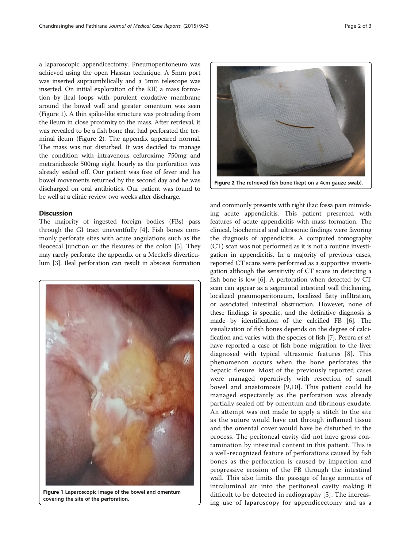a laparoscopic appendicectomy. Pneumoperitoneum was achieved using the open Hassan technique. A 5mm port was inserted supraumbilically and a 5mm telescope was inserted. On initial exploration of the RIF, a mass formation by ileal loops with purulent exudative membrane around the bowel wall and greater omentum was seen (Figure 1). A thin spike-like structure was protruding from the ileum in close proximity to the mass. After retrieval, it was revealed to be a fish bone that had perforated the terminal ileum (Figure 2). The appendix appeared normal. The mass was not disturbed. It was decided to manage the condition with intravenous cefuroxime 750mg and metranidazole 500mg eight hourly as the perforation was already sealed off. Our patient was free of fever and his bowel movements returned by the second day and he was discharged on oral antibiotics. Our patient was found to be well at a clinic review two weeks after discharge.

## **Discussion**

The majority of ingested foreign bodies (FBs) pass through the GI tract uneventfully [[4\]](#page-2-0). Fish bones commonly perforate sites with acute angulations such as the ileocecal junction or the flexures of the colon [[5\]](#page-2-0). They may rarely perforate the appendix or a Meckel's diverticulum [\[3](#page-2-0)]. Ileal perforation can result in abscess formation



Figure 1 Laparoscopic image of the bowel and omentum covering the site of the perforation.



and commonly presents with right iliac fossa pain mimicking acute appendicitis. This patient presented with features of acute appendicitis with mass formation. The clinical, biochemical and ultrasonic findings were favoring the diagnosis of appendicitis. A computed tomography (CT) scan was not performed as it is not a routine investigation in appendicitis. In a majority of previous cases, reported CT scans were performed as a supportive investigation although the sensitivity of CT scans in detecting a fish bone is low [[6\]](#page-2-0). A perforation when detected by CT scan can appear as a segmental intestinal wall thickening, localized pneumoperitoneum, localized fatty infiltration, or associated intestinal obstruction. However, none of these findings is specific, and the definitive diagnosis is made by identification of the calcified FB [\[6](#page-2-0)]. The visualization of fish bones depends on the degree of calcification and varies with the species of fish [[7](#page-2-0)]. Perera et al. have reported a case of fish bone migration to the liver diagnosed with typical ultrasonic features [[8](#page-2-0)]. This phenomenon occurs when the bone perforates the hepatic flexure. Most of the previously reported cases were managed operatively with resection of small bowel and anastomosis [[9,10](#page-2-0)]. This patient could be managed expectantly as the perforation was already partially sealed off by omentum and fibrinous exudate. An attempt was not made to apply a stitch to the site as the suture would have cut through inflamed tissue and the omental cover would have be disturbed in the process. The peritoneal cavity did not have gross contamination by intestinal content in this patient. This is a well-recognized feature of perforations caused by fish bones as the perforation is caused by impaction and progressive erosion of the FB through the intestinal wall. This also limits the passage of large amounts of intraluminal air into the peritoneal cavity making it difficult to be detected in radiography [[5\]](#page-2-0). The increasing use of laparoscopy for appendicectomy and as a